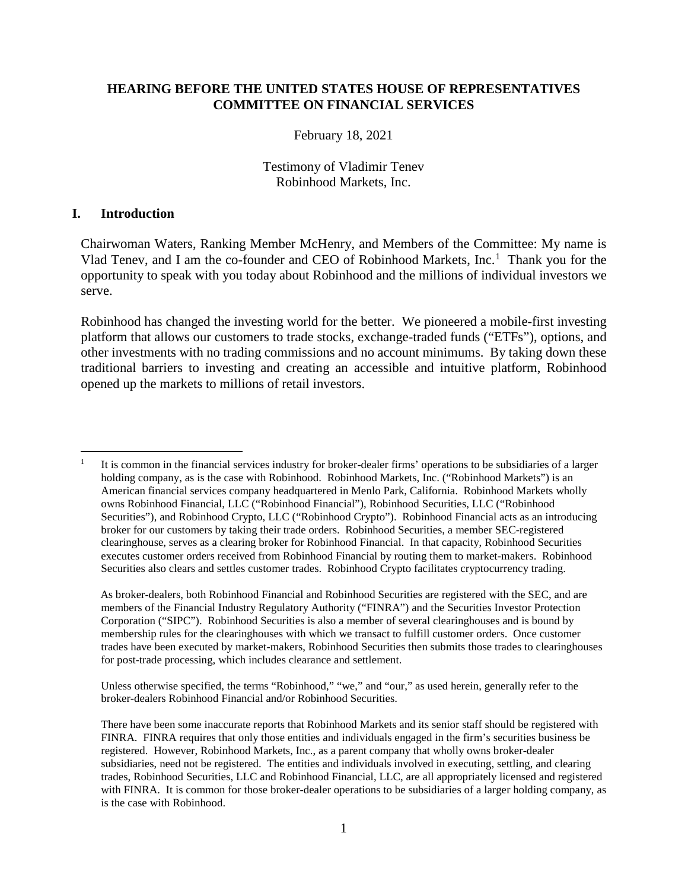#### **HEARING BEFORE THE UNITED STATES HOUSE OF REPRESENTATIVES COMMITTEE ON FINANCIAL SERVICES**

#### February 18, 2021

#### Testimony of Vladimir Tenev Robinhood Markets, Inc.

#### **I. Introduction**

 $\overline{a}$ 

Chairwoman Waters, Ranking Member McHenry, and Members of the Committee: My name is Vlad Tenev, and I am the co-founder and CEO of Robinhood Markets, Inc.<sup>[1](#page-0-0)</sup> Thank you for the opportunity to speak with you today about Robinhood and the millions of individual investors we serve.

Robinhood has changed the investing world for the better. We pioneered a mobile-first investing platform that allows our customers to trade stocks, exchange-traded funds ("ETFs"), options, and other investments with no trading commissions and no account minimums. By taking down these traditional barriers to investing and creating an accessible and intuitive platform, Robinhood opened up the markets to millions of retail investors.

As broker-dealers, both Robinhood Financial and Robinhood Securities are registered with the SEC, and are members of the Financial Industry Regulatory Authority ("FINRA") and the Securities Investor Protection Corporation ("SIPC"). Robinhood Securities is also a member of several clearinghouses and is bound by membership rules for the clearinghouses with which we transact to fulfill customer orders. Once customer trades have been executed by market-makers, Robinhood Securities then submits those trades to clearinghouses for post-trade processing, which includes clearance and settlement.

Unless otherwise specified, the terms "Robinhood," "we," and "our," as used herein, generally refer to the broker-dealers Robinhood Financial and/or Robinhood Securities.

<span id="page-0-0"></span><sup>1</sup> It is common in the financial services industry for broker-dealer firms' operations to be subsidiaries of a larger holding company, as is the case with Robinhood. Robinhood Markets, Inc. ("Robinhood Markets") is an American financial services company headquartered in Menlo Park, California. Robinhood Markets wholly owns Robinhood Financial, LLC ("Robinhood Financial"), Robinhood Securities, LLC ("Robinhood Securities"), and Robinhood Crypto, LLC ("Robinhood Crypto"). Robinhood Financial acts as an introducing broker for our customers by taking their trade orders. Robinhood Securities, a member SEC-registered clearinghouse, serves as a clearing broker for Robinhood Financial. In that capacity, Robinhood Securities executes customer orders received from Robinhood Financial by routing them to market-makers. Robinhood Securities also clears and settles customer trades. Robinhood Crypto facilitates cryptocurrency trading.

There have been some inaccurate reports that Robinhood Markets and its senior staff should be registered with FINRA. FINRA requires that only those entities and individuals engaged in the firm's securities business be registered. However, Robinhood Markets, Inc., as a parent company that wholly owns broker-dealer subsidiaries, need not be registered. The entities and individuals involved in executing, settling, and clearing trades, Robinhood Securities, LLC and Robinhood Financial, LLC, are all appropriately licensed and registered with FINRA. It is common for those broker-dealer operations to be subsidiaries of a larger holding company, as is the case with Robinhood.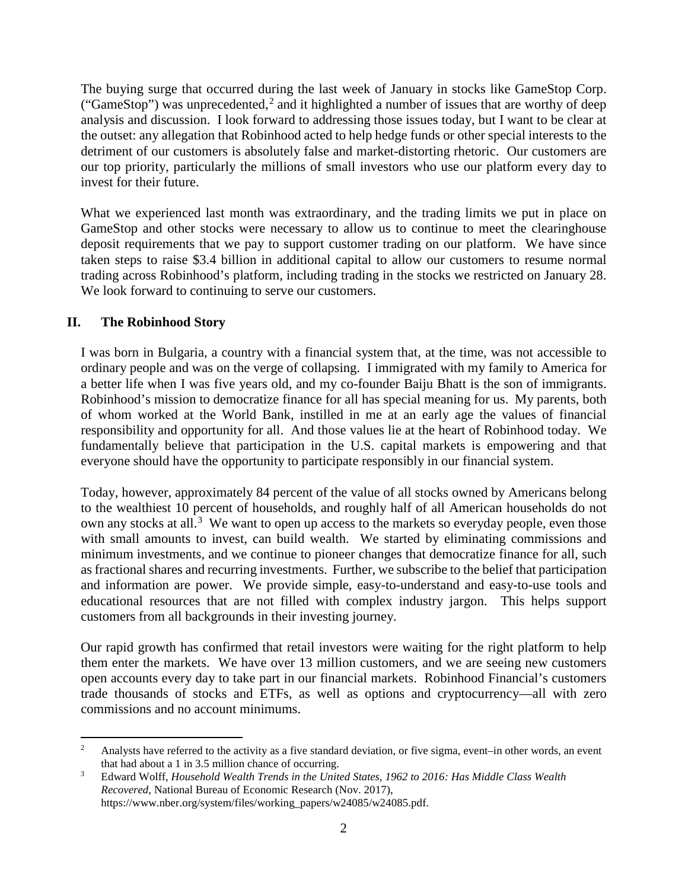The buying surge that occurred during the last week of January in stocks like GameStop Corp. ("GameStop") was unprecedented,<sup>[2](#page-1-0)</sup> and it highlighted a number of issues that are worthy of deep analysis and discussion. I look forward to addressing those issues today, but I want to be clear at the outset: any allegation that Robinhood acted to help hedge funds or other special interests to the detriment of our customers is absolutely false and market-distorting rhetoric. Our customers are our top priority, particularly the millions of small investors who use our platform every day to invest for their future.

What we experienced last month was extraordinary, and the trading limits we put in place on GameStop and other stocks were necessary to allow us to continue to meet the clearinghouse deposit requirements that we pay to support customer trading on our platform. We have since taken steps to raise \$3.4 billion in additional capital to allow our customers to resume normal trading across Robinhood's platform, including trading in the stocks we restricted on January 28. We look forward to continuing to serve our customers.

## **II. The Robinhood Story**

I was born in Bulgaria, a country with a financial system that, at the time, was not accessible to ordinary people and was on the verge of collapsing. I immigrated with my family to America for a better life when I was five years old, and my co-founder Baiju Bhatt is the son of immigrants. Robinhood's mission to democratize finance for all has special meaning for us. My parents, both of whom worked at the World Bank, instilled in me at an early age the values of financial responsibility and opportunity for all. And those values lie at the heart of Robinhood today. We fundamentally believe that participation in the U.S. capital markets is empowering and that everyone should have the opportunity to participate responsibly in our financial system.

Today, however, approximately 84 percent of the value of all stocks owned by Americans belong to the wealthiest 10 percent of households, and roughly half of all American households do not own any stocks at all.<sup>[3](#page-1-1)</sup> We want to open up access to the markets so everyday people, even those with small amounts to invest, can build wealth. We started by eliminating commissions and minimum investments, and we continue to pioneer changes that democratize finance for all, such as fractional shares and recurring investments. Further, we subscribe to the belief that participation and information are power. We provide simple, easy-to-understand and easy-to-use tools and educational resources that are not filled with complex industry jargon. This helps support customers from all backgrounds in their investing journey.

Our rapid growth has confirmed that retail investors were waiting for the right platform to help them enter the markets. We have over 13 million customers, and we are seeing new customers open accounts every day to take part in our financial markets. Robinhood Financial's customers trade thousands of stocks and ETFs, as well as options and cryptocurrency—all with zero commissions and no account minimums.

<span id="page-1-0"></span> $\overline{a}$ <sup>2</sup> Analysts have referred to the activity as a five standard deviation, or five sigma, event–in other words, an event that had about a 1 in 3.5 million chance of occurring. 3 Edward Wolff, *Household Wealth Trends in the United States, 1962 to 2016: Has Middle Class Wealth* 

<span id="page-1-1"></span>*Recovered*, National Bureau of Economic Research (Nov. 2017), https://www.nber.org/system/files/working\_papers/w24085/w24085.pdf.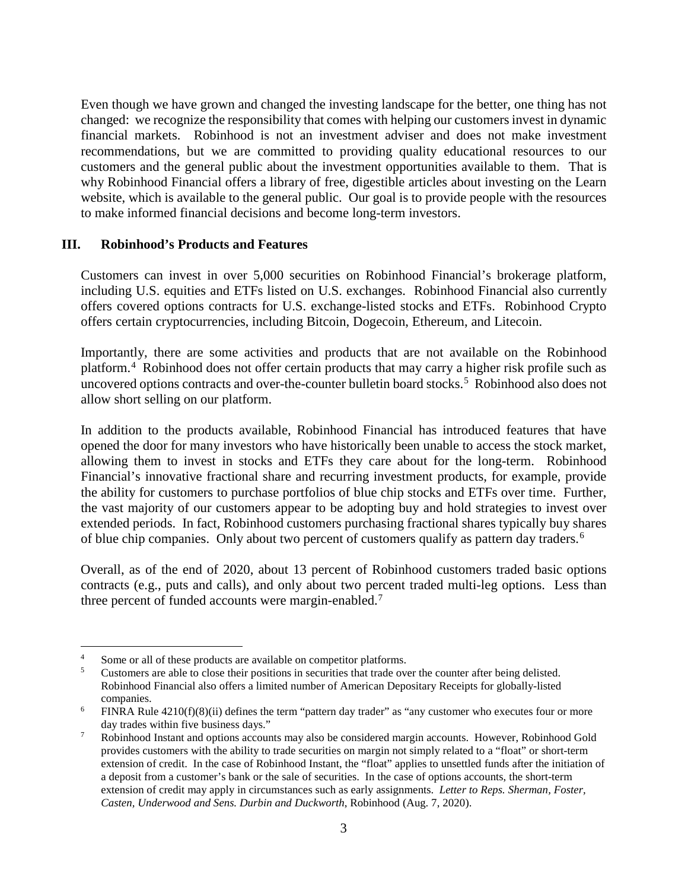Even though we have grown and changed the investing landscape for the better, one thing has not changed: we recognize the responsibility that comes with helping our customers invest in dynamic financial markets. Robinhood is not an investment adviser and does not make investment recommendations, but we are committed to providing quality educational resources to our customers and the general public about the investment opportunities available to them. That is why Robinhood Financial offers a library of free, digestible articles about investing on the Learn website, which is available to the general public. Our goal is to provide people with the resources to make informed financial decisions and become long-term investors.

### **III. Robinhood's Products and Features**

Customers can invest in over 5,000 securities on Robinhood Financial's brokerage platform, including U.S. equities and ETFs listed on U.S. exchanges. Robinhood Financial also currently offers covered options contracts for U.S. exchange-listed stocks and ETFs. Robinhood Crypto offers certain cryptocurrencies, including Bitcoin, Dogecoin, Ethereum, and Litecoin.

Importantly, there are some activities and products that are not available on the Robinhood platform.[4](#page-2-0) Robinhood does not offer certain products that may carry a higher risk profile such as uncovered options contracts and over-the-counter bulletin board stocks.<sup>[5](#page-2-1)</sup> Robinhood also does not allow short selling on our platform.

In addition to the products available, Robinhood Financial has introduced features that have opened the door for many investors who have historically been unable to access the stock market, allowing them to invest in stocks and ETFs they care about for the long-term. Robinhood Financial's innovative fractional share and recurring investment products, for example, provide the ability for customers to purchase portfolios of blue chip stocks and ETFs over time. Further, the vast majority of our customers appear to be adopting buy and hold strategies to invest over extended periods. In fact, Robinhood customers purchasing fractional shares typically buy shares of blue chip companies. Only about two percent of customers qualify as pattern day traders. [6](#page-2-2)

Overall, as of the end of 2020, about 13 percent of Robinhood customers traded basic options contracts (e.g., puts and calls), and only about two percent traded multi-leg options. Less than three percent of funded accounts were margin-enabled.<sup>[7](#page-2-3)</sup>

 $\overline{a}$ 

<span id="page-2-1"></span><span id="page-2-0"></span> $\frac{4}{5}$  Some or all of these products are available on competitor platforms.

<sup>5</sup> Customers are able to close their positions in securities that trade over the counter after being delisted. Robinhood Financial also offers a limited number of American Depositary Receipts for globally-listed companies.

<sup>6</sup> FINRA Rule 4210(f)(8)(ii) defines the term "pattern day trader" as "any customer who executes four or more day trades within five business days."

<span id="page-2-3"></span><span id="page-2-2"></span><sup>&</sup>lt;sup>7</sup> Robinhood Instant and options accounts may also be considered margin accounts. However, Robinhood Gold provides customers with the ability to trade securities on margin not simply related to a "float" or short-term extension of credit. In the case of Robinhood Instant, the "float" applies to unsettled funds after the initiation of a deposit from a customer's bank or the sale of securities. In the case of options accounts, the short-term extension of credit may apply in circumstances such as early assignments. *Letter to Reps. Sherman, Foster, Casten, Underwood and Sens. Durbin and Duckworth*, Robinhood (Aug. 7, 2020).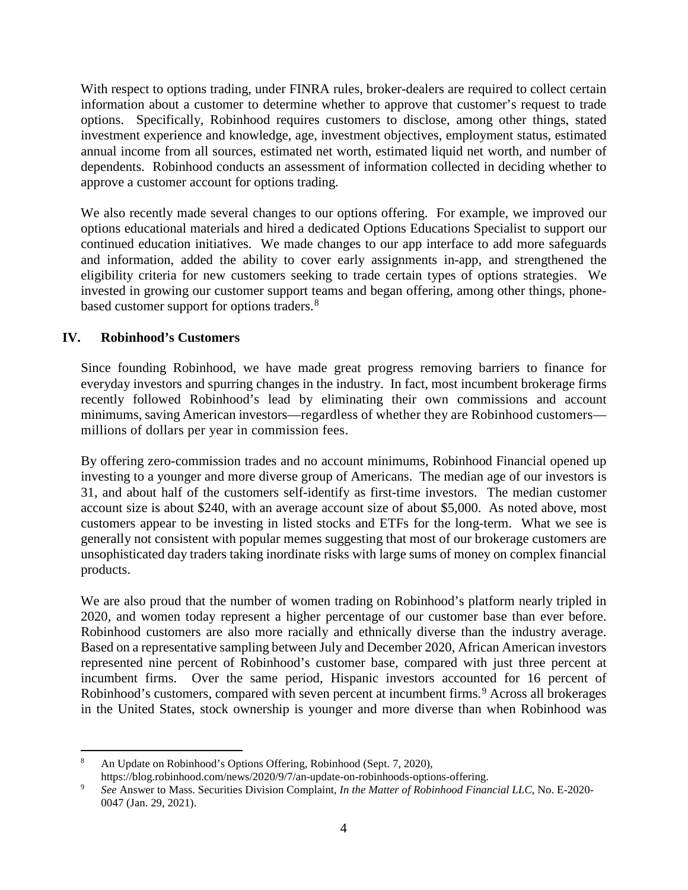With respect to options trading, under FINRA rules, broker-dealers are required to collect certain information about a customer to determine whether to approve that customer's request to trade options. Specifically, Robinhood requires customers to disclose, among other things, stated investment experience and knowledge, age, investment objectives, employment status, estimated annual income from all sources, estimated net worth, estimated liquid net worth, and number of dependents. Robinhood conducts an assessment of information collected in deciding whether to approve a customer account for options trading.

We also recently made several changes to our options offering. For example, we improved our options educational materials and hired a dedicated Options Educations Specialist to support our continued education initiatives. We made changes to our app interface to add more safeguards and information, added the ability to cover early assignments in-app, and strengthened the eligibility criteria for new customers seeking to trade certain types of options strategies. We invested in growing our customer support teams and began offering, among other things, phone-based customer support for options traders.<sup>[8](#page-3-0)</sup>

## **IV. Robinhood's Customers**

 $\overline{a}$ 

Since founding Robinhood, we have made great progress removing barriers to finance for everyday investors and spurring changes in the industry. In fact, most incumbent brokerage firms recently followed Robinhood's lead by eliminating their own commissions and account minimums, saving American investors—regardless of whether they are Robinhood customers millions of dollars per year in commission fees.

By offering zero-commission trades and no account minimums, Robinhood Financial opened up investing to a younger and more diverse group of Americans. The median age of our investors is 31, and about half of the customers self-identify as first-time investors. The median customer account size is about \$240, with an average account size of about \$5,000. As noted above, most customers appear to be investing in listed stocks and ETFs for the long-term. What we see is generally not consistent with popular memes suggesting that most of our brokerage customers are unsophisticated day traders taking inordinate risks with large sums of money on complex financial products.

We are also proud that the number of women trading on Robinhood's platform nearly tripled in 2020, and women today represent a higher percentage of our customer base than ever before. Robinhood customers are also more racially and ethnically diverse than the industry average. Based on a representative sampling between July and December 2020, African American investors represented nine percent of Robinhood's customer base, compared with just three percent at incumbent firms. Over the same period, Hispanic investors accounted for 16 percent of Robinhood's customers, compared with seven percent at incumbent firms.<sup>[9](#page-3-1)</sup> Across all brokerages in the United States, stock ownership is younger and more diverse than when Robinhood was

<span id="page-3-0"></span>An Update on Robinhood's Options Offering, Robinhood (Sept. 7, 2020),

<span id="page-3-1"></span>https://blog.robinhood.com/news/2020/9/7/an-update-on-robinhoods-options-offering. 9 *See* Answer to Mass. Securities Division Complaint, *In the Matter of Robinhood Financial LLC*, No. E-2020- 0047 (Jan. 29, 2021).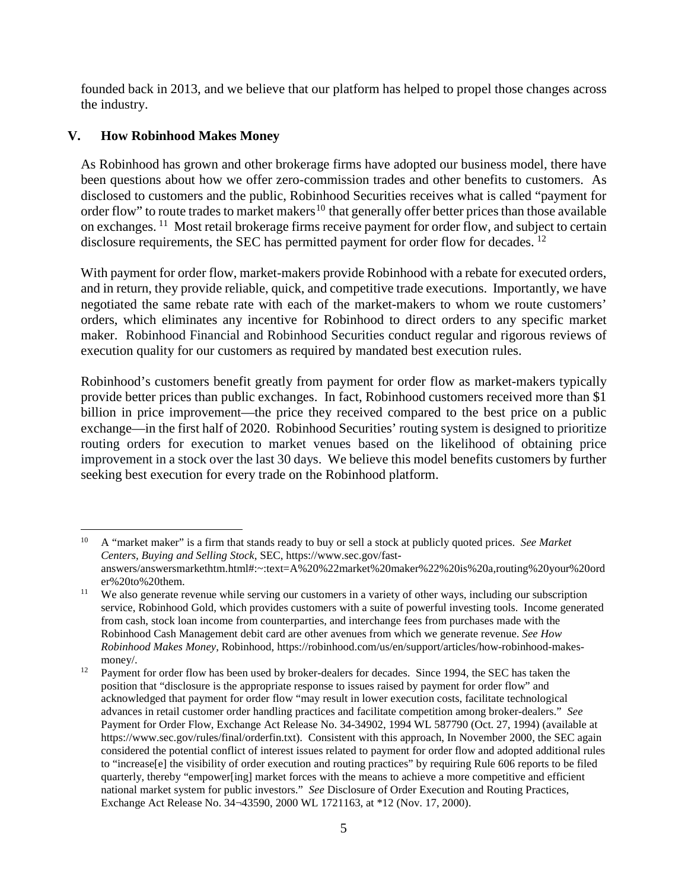founded back in 2013, and we believe that our platform has helped to propel those changes across the industry.

## **V. How Robinhood Makes Money**

 $\overline{a}$ 

As Robinhood has grown and other brokerage firms have adopted our business model, there have been questions about how we offer zero-commission trades and other benefits to customers. As disclosed to customers and the public, Robinhood Securities receives what is called "payment for order flow" to route trades to market makers<sup>[10](#page-4-0)</sup> that generally offer better prices than those available on exchanges. [11](#page-4-1) Most retail brokerage firms receive payment for order flow, and subject to certain disclosure requirements, the SEC has permitted payment for order flow for decades. <sup>[12](#page-4-2)</sup>

With payment for order flow, market-makers provide Robinhood with a rebate for executed orders, and in return, they provide reliable, quick, and competitive trade executions. Importantly, we have negotiated the same rebate rate with each of the market-makers to whom we route customers' orders, which eliminates any incentive for Robinhood to direct orders to any specific market maker. Robinhood Financial and Robinhood Securities conduct regular and rigorous reviews of execution quality for our customers as required by mandated best execution rules.

Robinhood's customers benefit greatly from payment for order flow as market-makers typically provide better prices than public exchanges. In fact, Robinhood customers received more than \$1 billion in price improvement—the price they received compared to the best price on a public exchange—in the first half of 2020. Robinhood Securities' routing system is designed to prioritize routing orders for execution to market venues based on the likelihood of obtaining price improvement in a stock over the last 30 days. We believe this model benefits customers by further seeking best execution for every trade on the Robinhood platform.

<span id="page-4-0"></span><sup>10</sup> A "market maker" is a firm that stands ready to buy or sell a stock at publicly quoted prices. *See Market Centers, Buying and Selling Stock*, SEC, https://www.sec.gov/fastanswers/answersmarkethtm.html#:~:text=A%20%22market%20maker%22%20is%20a,routing%20your%20ord er%20to%20them.

<span id="page-4-1"></span><sup>&</sup>lt;sup>11</sup> We also generate revenue while serving our customers in a variety of other ways, including our subscription service, Robinhood Gold, which provides customers with a suite of powerful investing tools. Income generated from cash, stock loan income from counterparties, and interchange fees from purchases made with the Robinhood Cash Management debit card are other avenues from which we generate revenue. *See How Robinhood Makes Money*, Robinhood, https://robinhood.com/us/en/support/articles/how-robinhood-makesmoney/.

<span id="page-4-2"></span><sup>&</sup>lt;sup>12</sup> Payment for order flow has been used by broker-dealers for decades. Since 1994, the SEC has taken the position that "disclosure is the appropriate response to issues raised by payment for order flow" and acknowledged that payment for order flow "may result in lower execution costs, facilitate technological advances in retail customer order handling practices and facilitate competition among broker-dealers." *See* Payment for Order Flow, Exchange Act Release No. 34-34902, 1994 WL 587790 (Oct. 27, 1994) (available at https://www.sec.gov/rules/final/orderfin.txt). Consistent with this approach, In November 2000, the SEC again considered the potential conflict of interest issues related to payment for order flow and adopted additional rules to "increase[e] the visibility of order execution and routing practices" by requiring Rule 606 reports to be filed quarterly, thereby "empower[ing] market forces with the means to achieve a more competitive and efficient national market system for public investors." *See* Disclosure of Order Execution and Routing Practices, Exchange Act Release No. 34¬43590, 2000 WL 1721163, at \*12 (Nov. 17, 2000).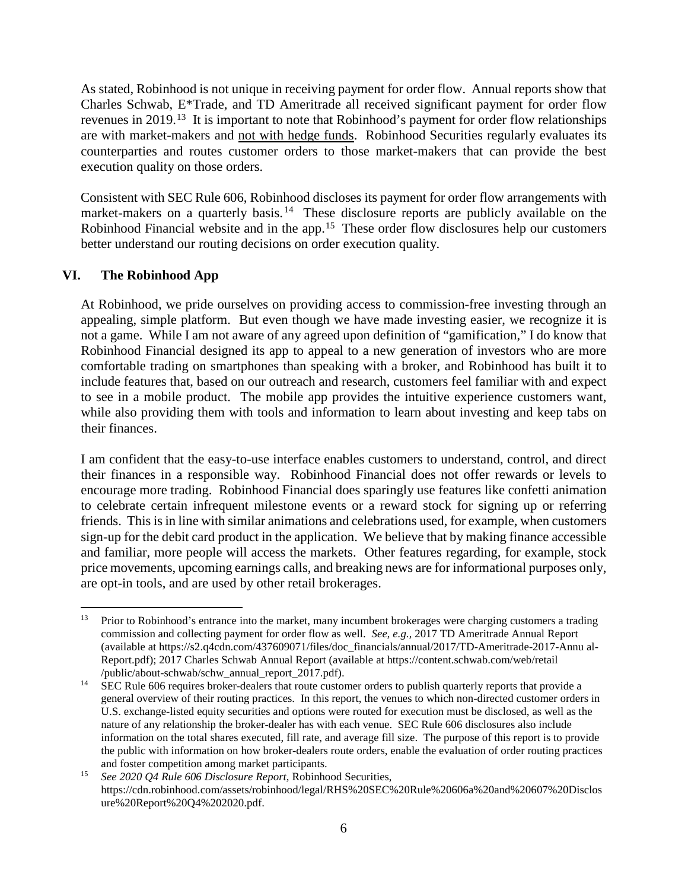As stated, Robinhood is not unique in receiving payment for order flow. Annual reports show that Charles Schwab, E\*Trade, and TD Ameritrade all received significant payment for order flow revenues in 2019.[13](#page-5-0) It is important to note that Robinhood's payment for order flow relationships are with market-makers and not with hedge funds. Robinhood Securities regularly evaluates its counterparties and routes customer orders to those market-makers that can provide the best execution quality on those orders.

Consistent with SEC Rule 606, Robinhood discloses its payment for order flow arrangements with market-makers on a quarterly basis.<sup>[14](#page-5-1)</sup> These disclosure reports are publicly available on the Robinhood Financial website and in the app.<sup>[15](#page-5-2)</sup> These order flow disclosures help our customers better understand our routing decisions on order execution quality.

### **VI. The Robinhood App**

 $\overline{a}$ 

At Robinhood, we pride ourselves on providing access to commission-free investing through an appealing, simple platform. But even though we have made investing easier, we recognize it is not a game. While I am not aware of any agreed upon definition of "gamification," I do know that Robinhood Financial designed its app to appeal to a new generation of investors who are more comfortable trading on smartphones than speaking with a broker, and Robinhood has built it to include features that, based on our outreach and research, customers feel familiar with and expect to see in a mobile product. The mobile app provides the intuitive experience customers want, while also providing them with tools and information to learn about investing and keep tabs on their finances.

I am confident that the easy-to-use interface enables customers to understand, control, and direct their finances in a responsible way. Robinhood Financial does not offer rewards or levels to encourage more trading. Robinhood Financial does sparingly use features like confetti animation to celebrate certain infrequent milestone events or a reward stock for signing up or referring friends. This is in line with similar animations and celebrations used, for example, when customers sign-up for the debit card product in the application. We believe that by making finance accessible and familiar, more people will access the markets. Other features regarding, for example, stock price movements, upcoming earnings calls, and breaking news are for informational purposes only, are opt-in tools, and are used by other retail brokerages.

<span id="page-5-0"></span><sup>&</sup>lt;sup>13</sup> Prior to Robinhood's entrance into the market, many incumbent brokerages were charging customers a trading commission and collecting payment for order flow as well. *See, e.g.,* 2017 TD Ameritrade Annual Report (available at https://s2.q4cdn.com/437609071/files/doc\_financials/annual/2017/TD-Ameritrade-2017-Annu al-Report.pdf); 2017 Charles Schwab Annual Report (available at https://content.schwab.com/web/retail /public/about-schwab/schw\_annual\_report\_2017.pdf).

<span id="page-5-1"></span><sup>14</sup> SEC Rule 606 requires broker-dealers that route customer orders to publish quarterly reports that provide a general overview of their routing practices. In this report, the venues to which non-directed customer orders in U.S. exchange-listed equity securities and options were routed for execution must be disclosed, as well as the nature of any relationship the broker-dealer has with each venue. SEC Rule 606 disclosures also include information on the total shares executed, fill rate, and average fill size. The purpose of this report is to provide the public with information on how broker-dealers route orders, enable the evaluation of order routing practices

<span id="page-5-2"></span>and foster competition among market participants. 15 *See 2020 Q4 Rule 606 Disclosure Report,* Robinhood Securities, https://cdn.robinhood.com/assets/robinhood/legal/RHS%20SEC%20Rule%20606a%20and%20607%20Disclos ure%20Report%20Q4%202020.pdf.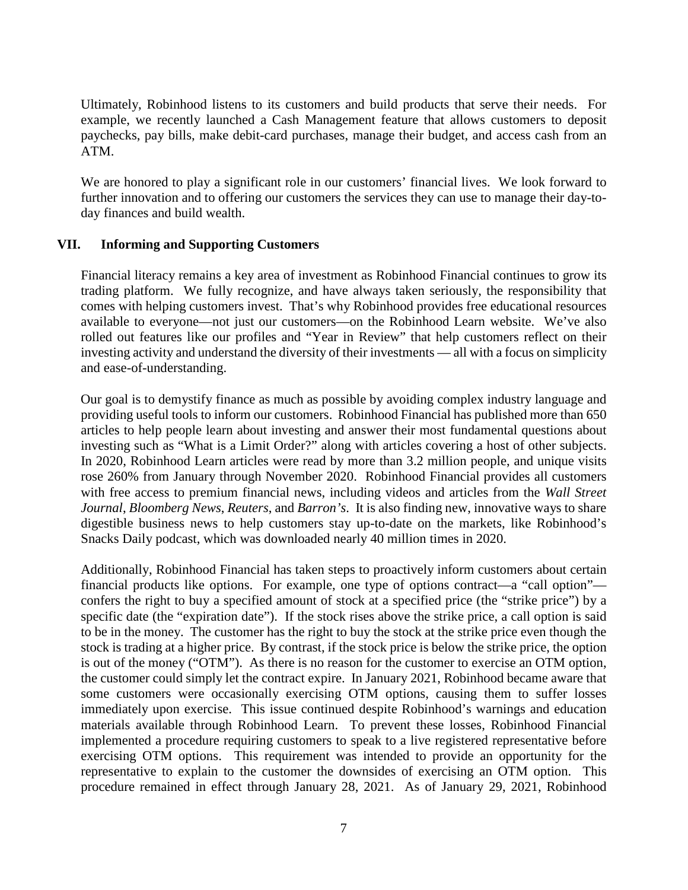Ultimately, Robinhood listens to its customers and build products that serve their needs. For example, we recently launched a Cash Management feature that allows customers to deposit paychecks, pay bills, make debit-card purchases, manage their budget, and access cash from an ATM.

We are honored to play a significant role in our customers' financial lives. We look forward to further innovation and to offering our customers the services they can use to manage their day-today finances and build wealth.

### **VII. Informing and Supporting Customers**

Financial literacy remains a key area of investment as Robinhood Financial continues to grow its trading platform. We fully recognize, and have always taken seriously, the responsibility that comes with helping customers invest. That's why Robinhood provides free educational resources available to everyone—not just our customers—on the Robinhood Learn website. We've also rolled out features like our profiles and "Year in Review" that help customers reflect on their investing activity and understand the diversity of their investments — all with a focus on simplicity and ease-of-understanding.

Our goal is to demystify finance as much as possible by avoiding complex industry language and providing useful tools to inform our customers. Robinhood Financial has published more than 650 articles to help people learn about investing and answer their most fundamental questions about investing such as "What is a Limit Order?" along with articles covering a host of other subjects. In 2020, Robinhood Learn articles were read by more than 3.2 million people, and unique visits rose 260% from January through November 2020. Robinhood Financial provides all customers with free access to premium financial news, including videos and articles from the *Wall Street Journal*, *Bloomberg News*, *Reuters*, and *Barron's*. It is also finding new, innovative ways to share digestible business news to help customers stay up-to-date on the markets, like Robinhood's Snacks Daily podcast, which was downloaded nearly 40 million times in 2020.

Additionally, Robinhood Financial has taken steps to proactively inform customers about certain financial products like options. For example, one type of options contract—a "call option" confers the right to buy a specified amount of stock at a specified price (the "strike price") by a specific date (the "expiration date"). If the stock rises above the strike price, a call option is said to be in the money. The customer has the right to buy the stock at the strike price even though the stock is trading at a higher price. By contrast, if the stock price is below the strike price, the option is out of the money ("OTM"). As there is no reason for the customer to exercise an OTM option, the customer could simply let the contract expire. In January 2021, Robinhood became aware that some customers were occasionally exercising OTM options, causing them to suffer losses immediately upon exercise. This issue continued despite Robinhood's warnings and education materials available through Robinhood Learn. To prevent these losses, Robinhood Financial implemented a procedure requiring customers to speak to a live registered representative before exercising OTM options. This requirement was intended to provide an opportunity for the representative to explain to the customer the downsides of exercising an OTM option. This procedure remained in effect through January 28, 2021. As of January 29, 2021, Robinhood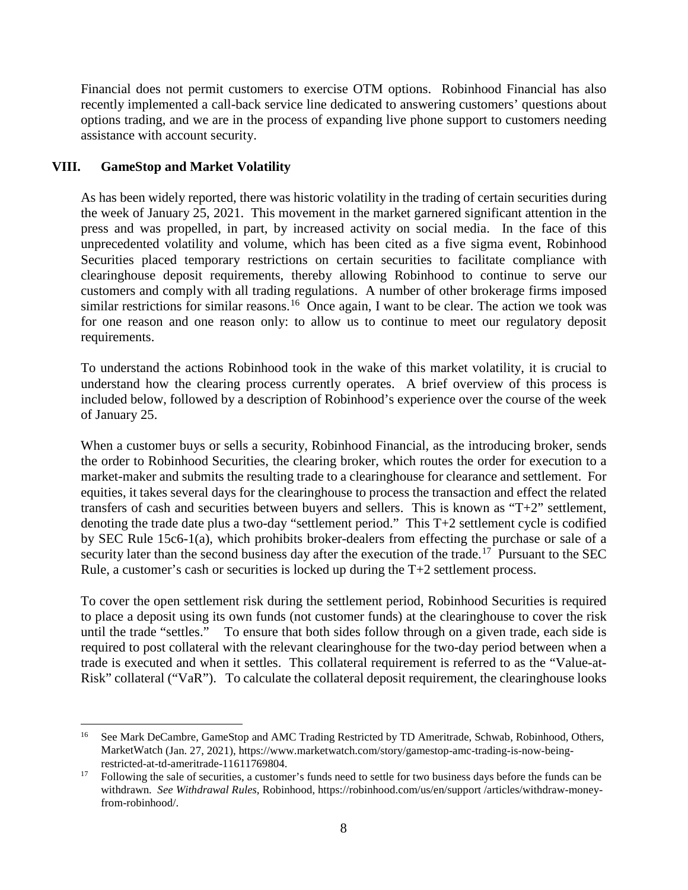Financial does not permit customers to exercise OTM options. Robinhood Financial has also recently implemented a call-back service line dedicated to answering customers' questions about options trading, and we are in the process of expanding live phone support to customers needing assistance with account security.

## **VIII. GameStop and Market Volatility**

 $\overline{a}$ 

As has been widely reported, there was historic volatility in the trading of certain securities during the week of January 25, 2021. This movement in the market garnered significant attention in the press and was propelled, in part, by increased activity on social media. In the face of this unprecedented volatility and volume, which has been cited as a five sigma event, Robinhood Securities placed temporary restrictions on certain securities to facilitate compliance with clearinghouse deposit requirements, thereby allowing Robinhood to continue to serve our customers and comply with all trading regulations. A number of other brokerage firms imposed similar restrictions for similar reasons.<sup>[16](#page-7-0)</sup> Once again, I want to be clear. The action we took was for one reason and one reason only: to allow us to continue to meet our regulatory deposit requirements.

To understand the actions Robinhood took in the wake of this market volatility, it is crucial to understand how the clearing process currently operates. A brief overview of this process is included below, followed by a description of Robinhood's experience over the course of the week of January 25.

When a customer buys or sells a security, Robinhood Financial, as the introducing broker, sends the order to Robinhood Securities, the clearing broker, which routes the order for execution to a market-maker and submits the resulting trade to a clearinghouse for clearance and settlement. For equities, it takes several days for the clearinghouse to process the transaction and effect the related transfers of cash and securities between buyers and sellers. This is known as "T+2" settlement, denoting the trade date plus a two-day "settlement period." This T+2 settlement cycle is codified by SEC Rule 15c6-1(a), which prohibits broker-dealers from effecting the purchase or sale of a security later than the second business day after the execution of the trade.<sup>[17](#page-7-1)</sup> Pursuant to the SEC Rule, a customer's cash or securities is locked up during the  $T+2$  settlement process.

To cover the open settlement risk during the settlement period, Robinhood Securities is required to place a deposit using its own funds (not customer funds) at the clearinghouse to cover the risk until the trade "settles." To ensure that both sides follow through on a given trade, each side is required to post collateral with the relevant clearinghouse for the two-day period between when a trade is executed and when it settles. This collateral requirement is referred to as the "Value-at-Risk" collateral ("VaR"). To calculate the collateral deposit requirement, the clearinghouse looks

<span id="page-7-0"></span><sup>&</sup>lt;sup>16</sup> See Mark DeCambre, GameStop and AMC Trading Restricted by TD Ameritrade, Schwab, Robinhood, Others, MarketWatch (Jan. 27, 2021), https://www.marketwatch.com/story/gamestop-amc-trading-is-now-beingrestricted-at-td-ameritrade-11611769804.

<span id="page-7-1"></span><sup>&</sup>lt;sup>17</sup> Following the sale of securities, a customer's funds need to settle for two business days before the funds can be withdrawn. *See Withdrawal Rules*, Robinhood, https://robinhood.com/us/en/support /articles/withdraw-moneyfrom-robinhood/.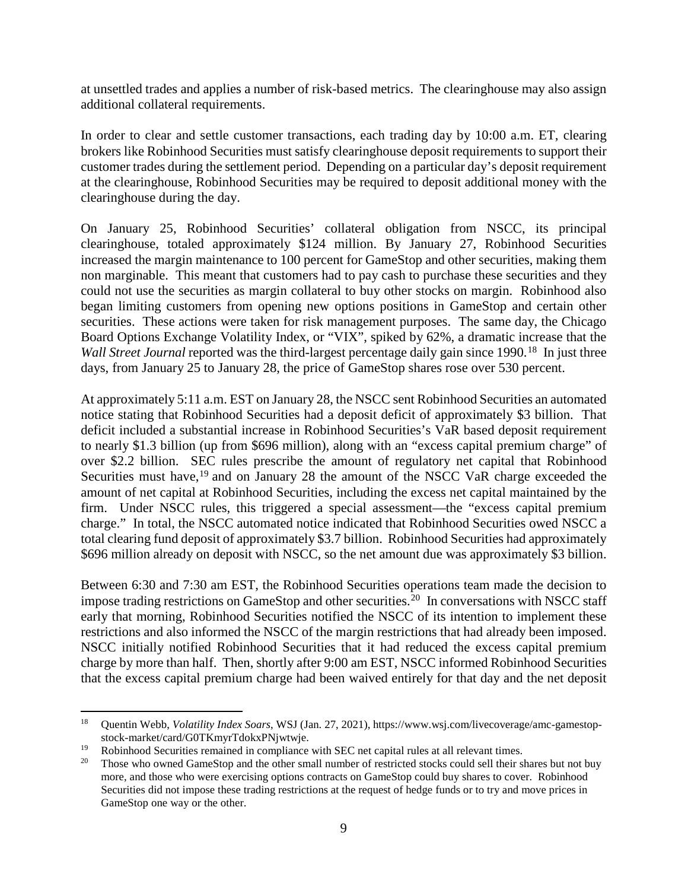at unsettled trades and applies a number of risk-based metrics. The clearinghouse may also assign additional collateral requirements.

In order to clear and settle customer transactions, each trading day by 10:00 a.m. ET, clearing brokers like Robinhood Securities must satisfy clearinghouse deposit requirements to support their customer trades during the settlement period. Depending on a particular day's deposit requirement at the clearinghouse, Robinhood Securities may be required to deposit additional money with the clearinghouse during the day.

On January 25, Robinhood Securities' collateral obligation from NSCC, its principal clearinghouse, totaled approximately \$124 million. By January 27, Robinhood Securities increased the margin maintenance to 100 percent for GameStop and other securities, making them non marginable. This meant that customers had to pay cash to purchase these securities and they could not use the securities as margin collateral to buy other stocks on margin. Robinhood also began limiting customers from opening new options positions in GameStop and certain other securities. These actions were taken for risk management purposes. The same day, the Chicago Board Options Exchange Volatility Index, or "VIX", spiked by 62%, a dramatic increase that the *Wall Street Journal* reported was the third-largest percentage daily gain since 1990.<sup>18</sup> In just three days, from January 25 to January 28, the price of GameStop shares rose over 530 percent.

At approximately 5:11 a.m. EST on January 28, the NSCC sent Robinhood Securities an automated notice stating that Robinhood Securities had a deposit deficit of approximately \$3 billion. That deficit included a substantial increase in Robinhood Securities's VaR based deposit requirement to nearly \$1.3 billion (up from \$696 million), along with an "excess capital premium charge" of over \$2.2 billion. SEC rules prescribe the amount of regulatory net capital that Robinhood Securities must have,<sup>[19](#page-8-1)</sup> and on January 28 the amount of the NSCC VaR charge exceeded the amount of net capital at Robinhood Securities, including the excess net capital maintained by the firm. Under NSCC rules, this triggered a special assessment—the "excess capital premium charge." In total, the NSCC automated notice indicated that Robinhood Securities owed NSCC a total clearing fund deposit of approximately \$3.7 billion. Robinhood Securities had approximately \$696 million already on deposit with NSCC, so the net amount due was approximately \$3 billion.

Between 6:30 and 7:30 am EST, the Robinhood Securities operations team made the decision to impose trading restrictions on GameStop and other securities.<sup>[20](#page-8-2)</sup> In conversations with NSCC staff early that morning, Robinhood Securities notified the NSCC of its intention to implement these restrictions and also informed the NSCC of the margin restrictions that had already been imposed. NSCC initially notified Robinhood Securities that it had reduced the excess capital premium charge by more than half. Then, shortly after 9:00 am EST, NSCC informed Robinhood Securities that the excess capital premium charge had been waived entirely for that day and the net deposit

 $\overline{a}$ 

<span id="page-8-0"></span><sup>18</sup> Quentin Webb, *Volatility Index Soars*, WSJ (Jan. 27, 2021), https://www.wsj.com/livecoverage/amc-gamestopstock-market/card/G0TKmyrTdokxPNjwtwje.

<span id="page-8-2"></span><span id="page-8-1"></span><sup>&</sup>lt;sup>19</sup> Robinhood Securities remained in compliance with SEC net capital rules at all relevant times.<br><sup>20</sup> Those who owned GameStop and the other small number of restricted stocks could sell their shares but not buy more, and those who were exercising options contracts on GameStop could buy shares to cover. Robinhood Securities did not impose these trading restrictions at the request of hedge funds or to try and move prices in GameStop one way or the other.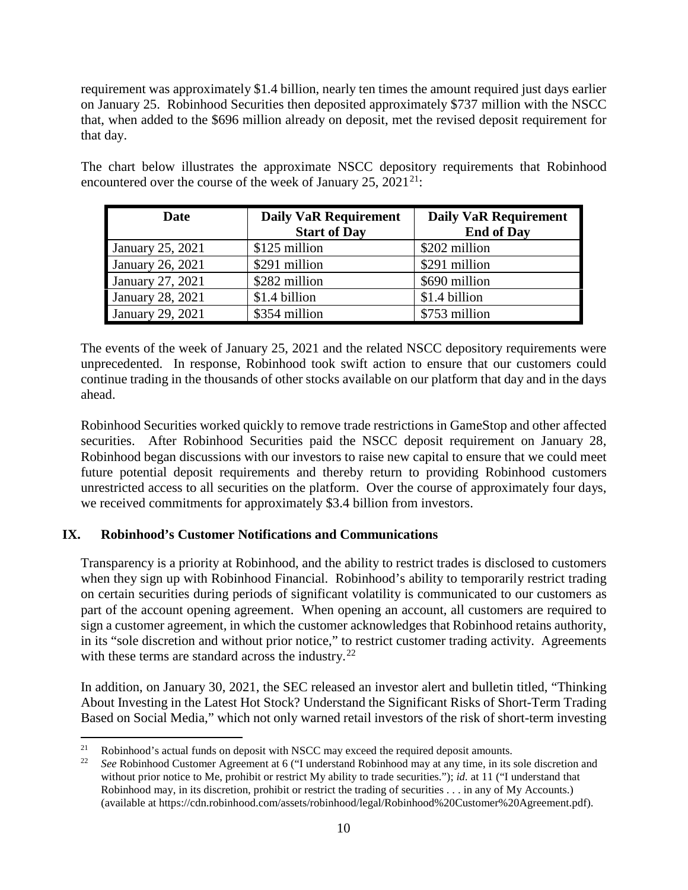requirement was approximately \$1.4 billion, nearly ten times the amount required just days earlier on January 25. Robinhood Securities then deposited approximately \$737 million with the NSCC that, when added to the \$696 million already on deposit, met the revised deposit requirement for that day.

The chart below illustrates the approximate NSCC depository requirements that Robinhood encountered over the course of the week of January 25,  $2021^{21}$ :

| Date             | <b>Daily VaR Requirement</b> | <b>Daily VaR Requirement</b> |
|------------------|------------------------------|------------------------------|
|                  | <b>Start of Day</b>          | <b>End of Day</b>            |
| January 25, 2021 | \$125 million                | \$202 million                |
| January 26, 2021 | \$291 million                | \$291 million                |
| January 27, 2021 | \$282 million                | \$690 million                |
| January 28, 2021 | \$1.4 billion                | \$1.4 billion                |
| January 29, 2021 | \$354 million                | \$753 million                |

The events of the week of January 25, 2021 and the related NSCC depository requirements were unprecedented. In response, Robinhood took swift action to ensure that our customers could continue trading in the thousands of other stocks available on our platform that day and in the days ahead.

Robinhood Securities worked quickly to remove trade restrictions in GameStop and other affected securities. After Robinhood Securities paid the NSCC deposit requirement on January 28, Robinhood began discussions with our investors to raise new capital to ensure that we could meet future potential deposit requirements and thereby return to providing Robinhood customers unrestricted access to all securities on the platform. Over the course of approximately four days, we received commitments for approximately \$3.4 billion from investors.

# **IX. Robinhood's Customer Notifications and Communications**

Transparency is a priority at Robinhood, and the ability to restrict trades is disclosed to customers when they sign up with Robinhood Financial. Robinhood's ability to temporarily restrict trading on certain securities during periods of significant volatility is communicated to our customers as part of the account opening agreement. When opening an account, all customers are required to sign a customer agreement, in which the customer acknowledges that Robinhood retains authority, in its "sole discretion and without prior notice," to restrict customer trading activity. Agreements with these terms are standard across the industry.<sup>22</sup>

In addition, on January 30, 2021, the SEC released an investor alert and bulletin titled, "Thinking About Investing in the Latest Hot Stock? Understand the Significant Risks of Short-Term Trading Based on Social Media," which not only warned retail investors of the risk of short-term investing

 $\overline{a}$ 

<span id="page-9-1"></span><span id="page-9-0"></span><sup>21</sup> Robinhood's actual funds on deposit with NSCC may exceed the required deposit amounts. 22 *See* Robinhood Customer Agreement at 6 ("I understand Robinhood may at any time, in its sole discretion and without prior notice to Me, prohibit or restrict My ability to trade securities."); *id.* at 11 ("I understand that Robinhood may, in its discretion, prohibit or restrict the trading of securities . . . in any of My Accounts.) (available at https://cdn.robinhood.com/assets/robinhood/legal/Robinhood%20Customer%20Agreement.pdf).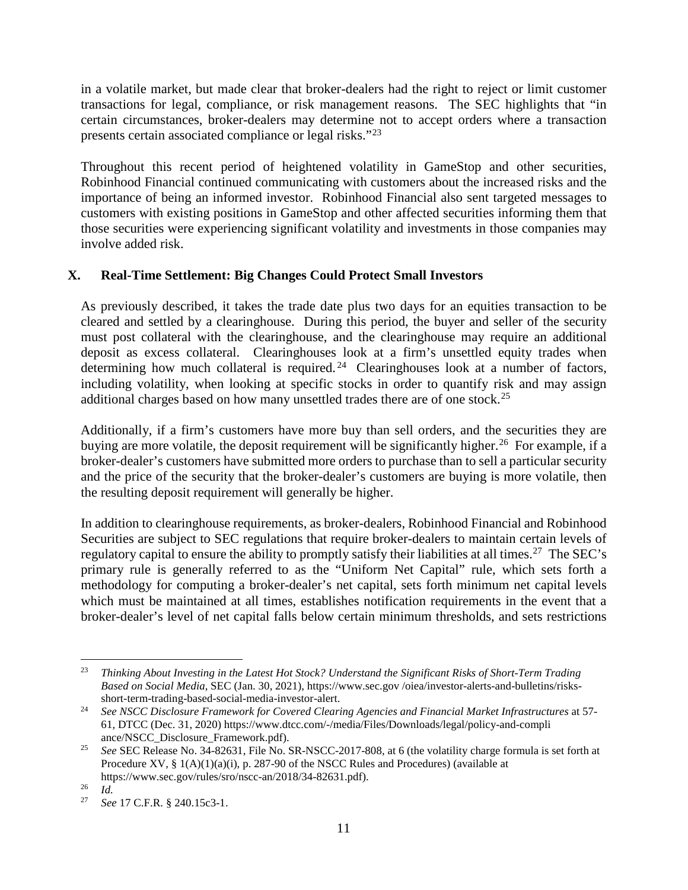in a volatile market, but made clear that broker-dealers had the right to reject or limit customer transactions for legal, compliance, or risk management reasons. The SEC highlights that "in certain circumstances, broker-dealers may determine not to accept orders where a transaction presents certain associated compliance or legal risks."[23](#page-10-0)

Throughout this recent period of heightened volatility in GameStop and other securities, Robinhood Financial continued communicating with customers about the increased risks and the importance of being an informed investor. Robinhood Financial also sent targeted messages to customers with existing positions in GameStop and other affected securities informing them that those securities were experiencing significant volatility and investments in those companies may involve added risk.

## **X. Real-Time Settlement: Big Changes Could Protect Small Investors**

As previously described, it takes the trade date plus two days for an equities transaction to be cleared and settled by a clearinghouse. During this period, the buyer and seller of the security must post collateral with the clearinghouse, and the clearinghouse may require an additional deposit as excess collateral. Clearinghouses look at a firm's unsettled equity trades when determining how much collateral is required.<sup>[24](#page-10-1)</sup> Clearinghouses look at a number of factors, including volatility, when looking at specific stocks in order to quantify risk and may assign additional charges based on how many unsettled trades there are of one stock.[25](#page-10-2)

Additionally, if a firm's customers have more buy than sell orders, and the securities they are buying are more volatile, the deposit requirement will be significantly higher.<sup>26</sup> For example, if a broker-dealer's customers have submitted more orders to purchase than to sell a particular security and the price of the security that the broker-dealer's customers are buying is more volatile, then the resulting deposit requirement will generally be higher.

In addition to clearinghouse requirements, as broker-dealers, Robinhood Financial and Robinhood Securities are subject to SEC regulations that require broker-dealers to maintain certain levels of regulatory capital to ensure the ability to promptly satisfy their liabilities at all times.<sup>27</sup> The SEC's primary rule is generally referred to as the "Uniform Net Capital" rule, which sets forth a methodology for computing a broker-dealer's net capital, sets forth minimum net capital levels which must be maintained at all times, establishes notification requirements in the event that a broker-dealer's level of net capital falls below certain minimum thresholds, and sets restrictions

 $\overline{a}$ 

<span id="page-10-0"></span><sup>23</sup> *Thinking About Investing in the Latest Hot Stock? Understand the Significant Risks of Short-Term Trading Based on Social Media*, SEC (Jan. 30, 2021), https://www.sec.gov /oiea/investor-alerts-and-bulletins/risksshort-term-trading-based-social-media-investor-alert.

<span id="page-10-1"></span><sup>&</sup>lt;sup>24</sup> See NSCC Disclosure Framework for Covered Clearing Agencies and Financial Market Infrastructures at 57-61*,* DTCC (Dec. 31, 2020) https://www.dtcc.com/-/media/Files/Downloads/legal/policy-and-compli ance/NSCC\_Disclosure\_Framework.pdf).

<span id="page-10-2"></span><sup>&</sup>lt;sup>25</sup> *See* SEC Release No. 34-82631, File No. SR-NSCC-2017-808, at 6 (the volatility charge formula is set forth at Procedure XV, § 1(A)(1)(a)(i), p. 287-90 of the NSCC Rules and Procedures) (available at https://www.sec.gov/rules/sro/nscc-an/2018/34-82631.pdf).

<span id="page-10-4"></span><span id="page-10-3"></span> $rac{26}{27}$  *Id.* 

<sup>27</sup> *See* 17 C.F.R. § 240.15c3-1.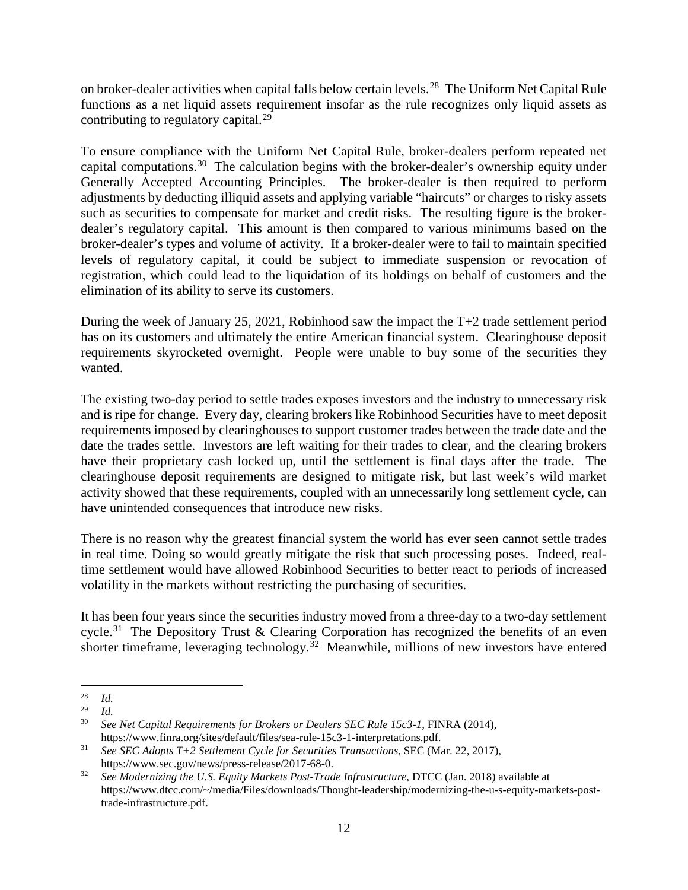on broker-dealer activities when capital falls below certain levels.[28](#page-11-0) The Uniform Net Capital Rule functions as a net liquid assets requirement insofar as the rule recognizes only liquid assets as contributing to regulatory capital.<sup>[29](#page-11-1)</sup>

To ensure compliance with the Uniform Net Capital Rule, broker-dealers perform repeated net capital computations.[30](#page-11-2) The calculation begins with the broker-dealer's ownership equity under Generally Accepted Accounting Principles. The broker-dealer is then required to perform adjustments by deducting illiquid assets and applying variable "haircuts" or charges to risky assets such as securities to compensate for market and credit risks. The resulting figure is the brokerdealer's regulatory capital. This amount is then compared to various minimums based on the broker-dealer's types and volume of activity. If a broker-dealer were to fail to maintain specified levels of regulatory capital, it could be subject to immediate suspension or revocation of registration, which could lead to the liquidation of its holdings on behalf of customers and the elimination of its ability to serve its customers.

During the week of January 25, 2021, Robinhood saw the impact the T+2 trade settlement period has on its customers and ultimately the entire American financial system. Clearinghouse deposit requirements skyrocketed overnight. People were unable to buy some of the securities they wanted.

The existing two-day period to settle trades exposes investors and the industry to unnecessary risk and is ripe for change. Every day, clearing brokers like Robinhood Securities have to meet deposit requirements imposed by clearinghouses to support customer trades between the trade date and the date the trades settle. Investors are left waiting for their trades to clear, and the clearing brokers have their proprietary cash locked up, until the settlement is final days after the trade. The clearinghouse deposit requirements are designed to mitigate risk, but last week's wild market activity showed that these requirements, coupled with an unnecessarily long settlement cycle, can have unintended consequences that introduce new risks.

There is no reason why the greatest financial system the world has ever seen cannot settle trades in real time. Doing so would greatly mitigate the risk that such processing poses. Indeed, realtime settlement would have allowed Robinhood Securities to better react to periods of increased volatility in the markets without restricting the purchasing of securities.

It has been four years since the securities industry moved from a three-day to a two-day settlement cycle.<sup>31</sup> The Depository Trust & Clearing Corporation has recognized the benefits of an even shorter timeframe, leveraging technology.<sup>[32](#page-11-4)</sup> Meanwhile, millions of new investors have entered

<span id="page-11-0"></span> $\overline{a}$  $rac{28}{29}$  *Id.* 

<span id="page-11-2"></span><span id="page-11-1"></span> $\frac{29}{30}$  *Id.* 

<sup>30</sup> *See Net Capital Requirements for Brokers or Dealers SEC Rule 15c3-1*, FINRA (2014), https://www.finra.org/sites/default/files/sea-rule-15c3-1-interpretations.pdf.

<span id="page-11-3"></span><sup>31</sup> *See SEC Adopts T+2 Settlement Cycle for Securities Transactions*, SEC (Mar. 22, 2017), https://www.sec.gov/news/press-release/2017-68-0.

<span id="page-11-4"></span><sup>32</sup> *See Modernizing the U.S. Equity Markets Post-Trade Infrastructure*, DTCC (Jan. 2018) available at https://www.dtcc.com/~/media/Files/downloads/Thought-leadership/modernizing-the-u-s-equity-markets-posttrade-infrastructure.pdf.